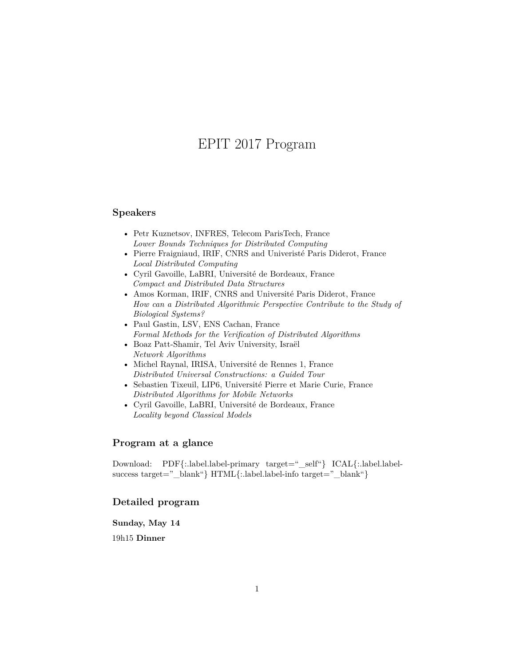# EPIT 2017 Program

# <span id="page-0-0"></span>**Speakers**

- [Petr Kuznetsov,](http://perso.telecom-paristech.fr/~kuznetso/) INFRES, Telecom ParisTech, France *Lower Bounds Techniques for Distributed Computing*
- [Pierre Fraigniaud,](https://www.irif.univ-paris-diderot.fr/users/pierref/index) IRIF, CNRS and Univeristé Paris Diderot, France *Local Distributed Computing*
- [Cyril Gavoille,](http://dept-info.labri.fr/~gavoille/) LaBRI, Université de Bordeaux, France *Compact and Distributed Data Structures*
- [Amos Korman,](https://www.irif.univ-paris-diderot.fr/~pandit/) IRIF, CNRS and Université Paris Diderot, France *How can a Distributed Algorithmic Perspective Contribute to the Study of Biological Systems?*
- [Paul Gastin,](http://www.lsv.ens-cachan.fr/~gastin) LSV, ENS Cachan, France *Formal Methods for the Verification of Distributed Algorithms*
- [Boaz Patt-Shamir,](http://www.eng.tau.ac.il/~boaz/) Tel Aviv University, Israël *Network Algorithms*
- [Michel Raynal,](http://www.irisa.fr/prive/raynal/) IRISA, Université de Rennes 1, France *Distributed Universal Constructions: a Guided Tour*
- [Sebastien Tixeuil,](https://www-npa.lip6.fr/~tixeuil/) LIP6, Université Pierre et Marie Curie, France *Distributed Algorithms for Mobile Networks*
- [Cyril Gavoille,](http://dept-info.labri.fr/~gavoille/) LaBRI, Université de Bordeaux, France *Locality beyond Classical Models*

# **Program at a glance**

Download: [PDF{](https://epit2017.labri.fr/en/program/program.pdf):.label.label-primary target=" self"} [ICAL{](https://calendar.google.com/calendar/ical/k71flr1d0j7h638ra7tg7k66vk%40group.calendar.google.com/public/basic.ics):.label.label-success target="\_blank"} [HTML{](https://calendar.google.com/calendar/embed?src=k71flr1d0j7h638ra7tg7k66vk%40group.calendar.google.com&ctz=Europe/Paris):.label.label-info target="\_blank"}

## **Detailed program**

**Sunday, May 14**

19h15 **Dinner**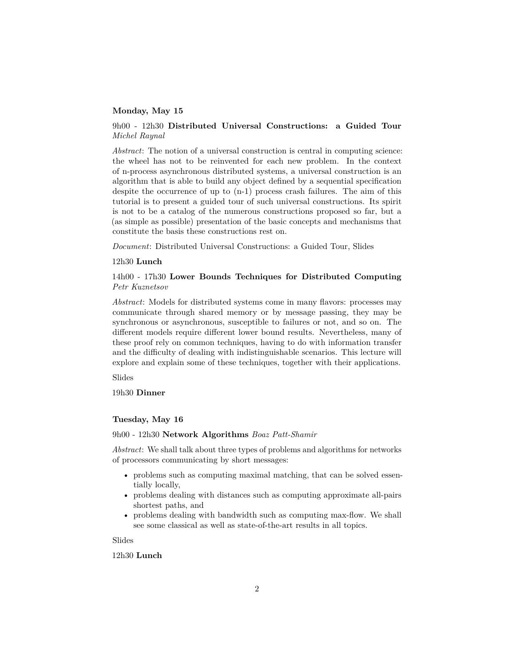## **Monday, May 15**

## 9h00 - 12h30 **Distributed Universal Constructions: a Guided Tour** *Michel Raynal*

*Abstract*: The notion of a universal construction is central in computing science: the wheel has not to be reinvented for each new problem. In the context of n-process asynchronous distributed systems, a universal construction is an algorithm that is able to build any object defined by a sequential specification despite the occurrence of up to  $(n-1)$  process crash failures. The aim of this tutorial is to present a guided tour of such universal constructions. Its spirit is not to be a catalog of the numerous constructions proposed so far, but a (as simple as possible) presentation of the basic concepts and mechanisms that constitute the basis these constructions rest on.

*Document*: [Distributed Universal Constructions: a Guided Tour,](https://hal.inria.fr/hal-01397265v2) [Slides](#page-0-0)

#### 12h30 **Lunch**

## 14h00 - 17h30 **Lower Bounds Techniques for Distributed Computing** *Petr Kuznetsov*

*Abstract*: Models for distributed systems come in many flavors: processes may communicate through shared memory or by message passing, they may be synchronous or asynchronous, susceptible to failures or not, and so on. The different models require different lower bound results. Nevertheless, many of these proof rely on common techniques, having to do with information transfer and the difficulty of dealing with indistinguishable scenarios. This lecture will explore and explain some of these techniques, together with their applications.

[Slides](#page-0-0)

19h30 **Dinner**

#### **Tuesday, May 16**

#### 9h00 - 12h30 **Network Algorithms** *Boaz Patt-Shamir*

*Abstract*: We shall talk about three types of problems and algorithms for networks of processors communicating by short messages:

- problems such as computing maximal matching, that can be solved essentially locally,
- problems dealing with distances such as computing approximate all-pairs shortest paths, and
- problems dealing with bandwidth such as computing max-flow. We shall see some classical as well as state-of-the-art results in all topics.

[Slides](#page-0-0)

## 12h30 **Lunch**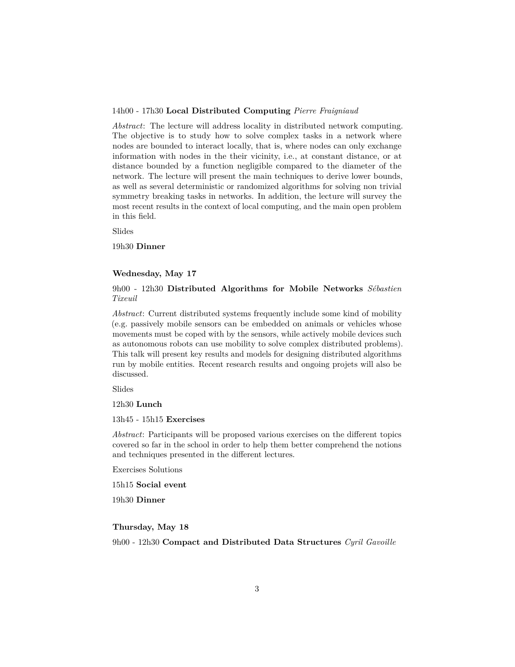#### 14h00 - 17h30 **Local Distributed Computing** *Pierre Fraigniaud*

*Abstract*: The lecture will address locality in distributed network computing. The objective is to study how to solve complex tasks in a network where nodes are bounded to interact locally, that is, where nodes can only exchange information with nodes in the their vicinity, i.e., at constant distance, or at distance bounded by a function negligible compared to the diameter of the network. The lecture will present the main techniques to derive lower bounds, as well as several deterministic or randomized algorithms for solving non trivial symmetry breaking tasks in networks. In addition, the lecture will survey the most recent results in the context of local computing, and the main open problem in this field.

[Slides](#page-0-0)

19h30 **Dinner**

#### **Wednesday, May 17**

9h00 - 12h30 **Distributed Algorithms for Mobile Networks** *Sébastien Tixeuil*

*Abstract*: Current distributed systems frequently include some kind of mobility (e.g. passively mobile sensors can be embedded on animals or vehicles whose movements must be coped with by the sensors, while actively mobile devices such as autonomous robots can use mobility to solve complex distributed problems). This talk will present key results and models for designing distributed algorithms run by mobile entities. Recent research results and ongoing projets will also be discussed.

[Slides](#page-0-0)

12h30 **Lunch**

13h45 - 15h15 **Exercises**

*Abstract*: Participants will be proposed various exercises on the different topics covered so far in the school in order to help them better comprehend the notions and techniques presented in the different lectures.

[Exercises Solutions](#page-0-0)

15h15 **Social event**

19h30 **Dinner**

## **Thursday, May 18**

9h00 - 12h30 **Compact and Distributed Data Structures** *Cyril Gavoille*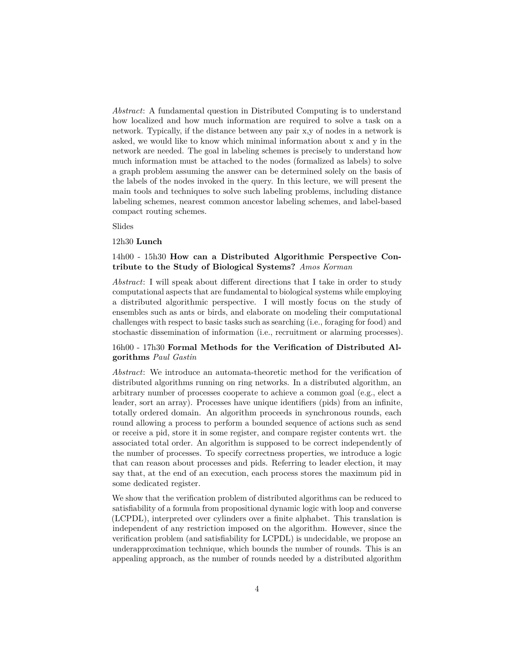*Abstract*: A fundamental question in Distributed Computing is to understand how localized and how much information are required to solve a task on a network. Typically, if the distance between any pair x,y of nodes in a network is asked, we would like to know which minimal information about x and y in the network are needed. The goal in labeling schemes is precisely to understand how much information must be attached to the nodes (formalized as labels) to solve a graph problem assuming the answer can be determined solely on the basis of the labels of the nodes invoked in the query. In this lecture, we will present the main tools and techniques to solve such labeling problems, including distance labeling schemes, nearest common ancestor labeling schemes, and label-based compact routing schemes.

[Slides](#page-0-0)

#### 12h30 **Lunch**

## 14h00 - 15h30 **How can a Distributed Algorithmic Perspective Contribute to the Study of Biological Systems?** *Amos Korman*

*Abstract*: I will speak about different directions that I take in order to study computational aspects that are fundamental to biological systems while employing a distributed algorithmic perspective. I will mostly focus on the study of ensembles such as ants or birds, and elaborate on modeling their computational challenges with respect to basic tasks such as searching (i.e., foraging for food) and stochastic dissemination of information (i.e., recruitment or alarming processes).

# 16h00 - 17h30 **Formal Methods for the Verification of Distributed Algorithms** *Paul Gastin*

*Abstract*: We introduce an automata-theoretic method for the verification of distributed algorithms running on ring networks. In a distributed algorithm, an arbitrary number of processes cooperate to achieve a common goal (e.g., elect a leader, sort an array). Processes have unique identifiers (pids) from an infinite, totally ordered domain. An algorithm proceeds in synchronous rounds, each round allowing a process to perform a bounded sequence of actions such as send or receive a pid, store it in some register, and compare register contents wrt. the associated total order. An algorithm is supposed to be correct independently of the number of processes. To specify correctness properties, we introduce a logic that can reason about processes and pids. Referring to leader election, it may say that, at the end of an execution, each process stores the maximum pid in some dedicated register.

We show that the verification problem of distributed algorithms can be reduced to satisfiability of a formula from propositional dynamic logic with loop and converse (LCPDL), interpreted over cylinders over a finite alphabet. This translation is independent of any restriction imposed on the algorithm. However, since the verification problem (and satisfiability for LCPDL) is undecidable, we propose an underapproximation technique, which bounds the number of rounds. This is an appealing approach, as the number of rounds needed by a distributed algorithm